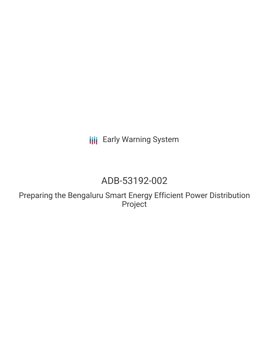**III** Early Warning System

# ADB-53192-002

Preparing the Bengaluru Smart Energy Efficient Power Distribution Project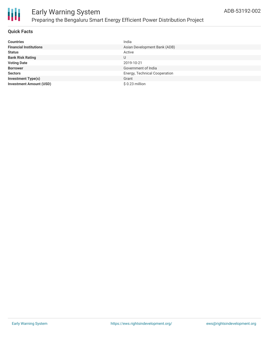

#### **Quick Facts**

| <b>Countries</b>               | India                         |
|--------------------------------|-------------------------------|
| <b>Financial Institutions</b>  | Asian Development Bank (ADB)  |
| <b>Status</b>                  | Active                        |
| <b>Bank Risk Rating</b>        | U                             |
| <b>Voting Date</b>             | 2019-10-21                    |
| <b>Borrower</b>                | Government of India           |
| <b>Sectors</b>                 | Energy, Technical Cooperation |
| <b>Investment Type(s)</b>      | Grant                         |
| <b>Investment Amount (USD)</b> | \$0.23 million                |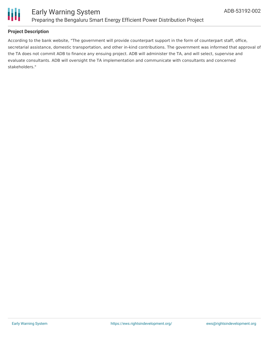

#### **Project Description**

According to the bank website, "The government will provide counterpart support in the form of counterpart staff, office, secretarial assistance, domestic transportation, and other in-kind contributions. The government was informed that approval of the TA does not commit ADB to finance any ensuing project. ADB will administer the TA, and will select, supervise and evaluate consultants. ADB will oversight the TA implementation and communicate with consultants and concerned stakeholders."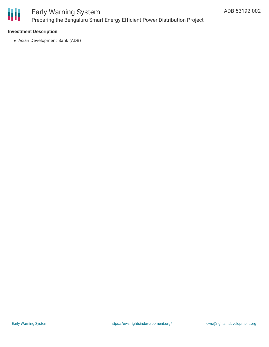

#### **Investment Description**

Asian Development Bank (ADB)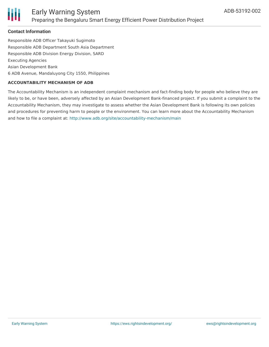

#### **Contact Information**

Responsible ADB Officer Takayuki Sugimoto Responsible ADB Department South Asia Department Responsible ADB Division Energy Division, SARD Executing Agencies Asian Development Bank 6 ADB Avenue, Mandaluyong City 1550, Philippines

#### **ACCOUNTABILITY MECHANISM OF ADB**

The Accountability Mechanism is an independent complaint mechanism and fact-finding body for people who believe they are likely to be, or have been, adversely affected by an Asian Development Bank-financed project. If you submit a complaint to the Accountability Mechanism, they may investigate to assess whether the Asian Development Bank is following its own policies and procedures for preventing harm to people or the environment. You can learn more about the Accountability Mechanism and how to file a complaint at: <http://www.adb.org/site/accountability-mechanism/main>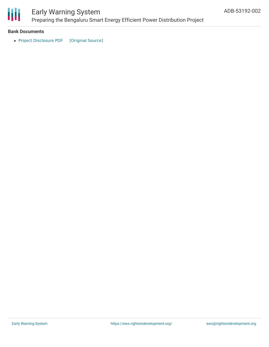

#### **Bank Documents**

• Project [Disclosure](https://ewsdata.rightsindevelopment.org/files/documents/02/ADB-53192-002.pdf) PDF [\[Original](https://www.adb.org/printpdf/projects/53192-002/main) Source]